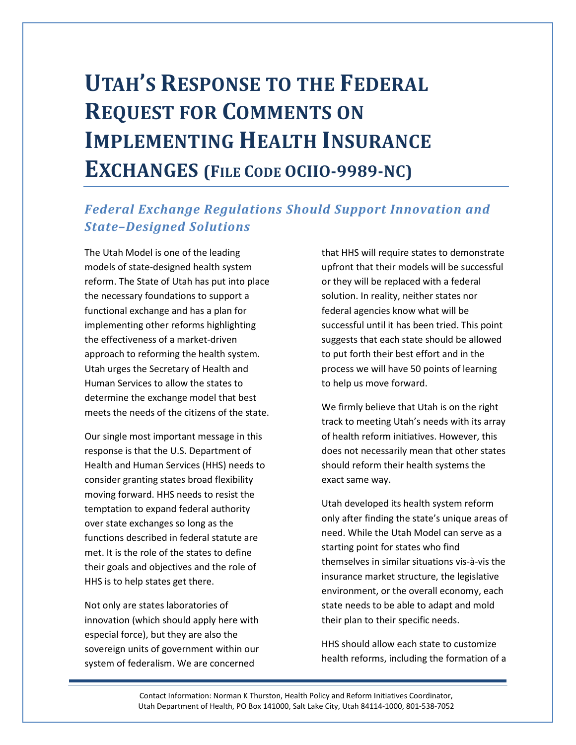# UTAH'S RESPONSE TO THE FEDERAL REQUEST FOR COMMENTS ON IMPLEMENTING HEALTH INSURANCE EXCHANGES (FILE CODE OCIIO-9989-NC)

# Federal Exchange Regulations Should Support Innovation and State–Designed Solutions

The Utah Model is one of the leading models of state-designed health system reform. The State of Utah has put into place the necessary foundations to support a functional exchange and has a plan for implementing other reforms highlighting the effectiveness of a market-driven approach to reforming the health system. Utah urges the Secretary of Health and Human Services to allow the states to determine the exchange model that best meets the needs of the citizens of the state.

Our single most important message in this response is that the U.S. Department of Health and Human Services (HHS) needs to consider granting states broad flexibility moving forward. HHS needs to resist the temptation to expand federal authority over state exchanges so long as the functions described in federal statute are met. It is the role of the states to define their goals and objectives and the role of HHS is to help states get there.

Not only are states laboratories of innovation (which should apply here with especial force), but they are also the sovereign units of government within our system of federalism. We are concerned

that HHS will require states to demonstrate upfront that their models will be successful or they will be replaced with a federal solution. In reality, neither states nor federal agencies know what will be successful until it has been tried. This point suggests that each state should be allowed to put forth their best effort and in the process we will have 50 points of learning to help us move forward.

We firmly believe that Utah is on the right track to meeting Utah's needs with its array of health reform initiatives. However, this does not necessarily mean that other states should reform their health systems the exact same way.

Utah developed its health system reform only after finding the state's unique areas of need. While the Utah Model can serve as a starting point for states who find themselves in similar situations vis-à-vis the insurance market structure, the legislative environment, or the overall economy, each state needs to be able to adapt and mold their plan to their specific needs.

HHS should allow each state to customize health reforms, including the formation of a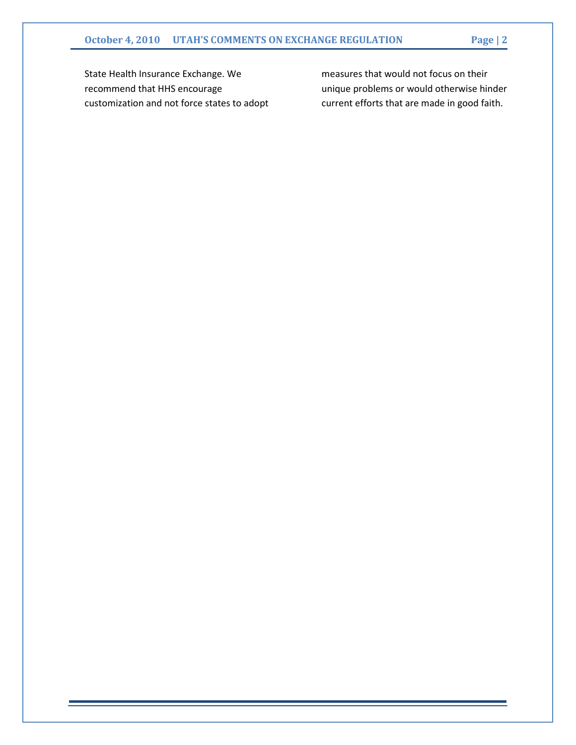State Health Insurance Exchange. We recommend that HHS encourage customization and not force states to adopt measures that would not focus on their unique problems or would otherwise hinder current efforts that are made in good faith.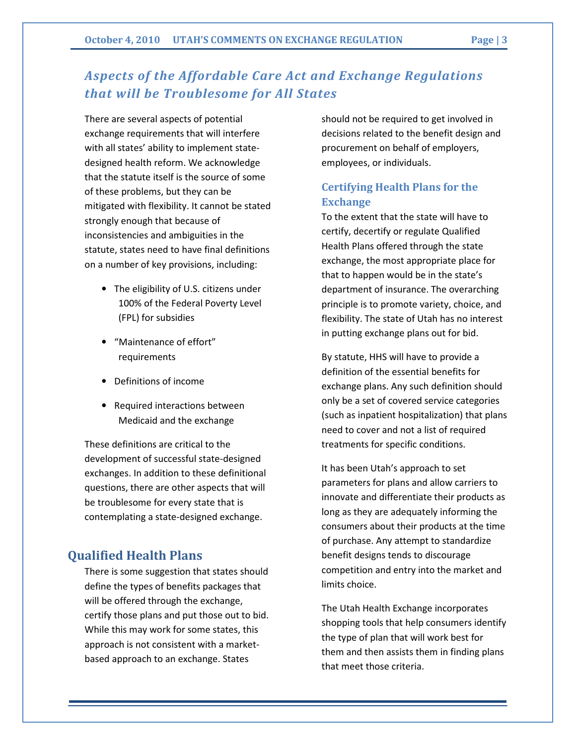# Aspects of the Affordable Care Act and Exchange Regulations that will be Troublesome for All States

There are several aspects of potential exchange requirements that will interfere with all states' ability to implement statedesigned health reform. We acknowledge that the statute itself is the source of some of these problems, but they can be mitigated with flexibility. It cannot be stated strongly enough that because of inconsistencies and ambiguities in the statute, states need to have final definitions on a number of key provisions, including:

- The eligibility of U.S. citizens under 100% of the Federal Poverty Level (FPL) for subsidies
- "Maintenance of effort" requirements
- Definitions of income
- Required interactions between Medicaid and the exchange

These definitions are critical to the development of successful state-designed exchanges. In addition to these definitional questions, there are other aspects that will be troublesome for every state that is contemplating a state-designed exchange.

# Qualified Health Plans

There is some suggestion that states should define the types of benefits packages that will be offered through the exchange, certify those plans and put those out to bid. While this may work for some states, this approach is not consistent with a marketbased approach to an exchange. States

should not be required to get involved in decisions related to the benefit design and procurement on behalf of employers, employees, or individuals.

# Certifying Health Plans for the Exchange

To the extent that the state will have to certify, decertify or regulate Qualified Health Plans offered through the state exchange, the most appropriate place for that to happen would be in the state's department of insurance. The overarching principle is to promote variety, choice, and flexibility. The state of Utah has no interest in putting exchange plans out for bid.

By statute, HHS will have to provide a definition of the essential benefits for exchange plans. Any such definition should only be a set of covered service categories (such as inpatient hospitalization) that plans need to cover and not a list of required treatments for specific conditions.

It has been Utah's approach to set parameters for plans and allow carriers to innovate and differentiate their products as long as they are adequately informing the consumers about their products at the time of purchase. Any attempt to standardize benefit designs tends to discourage competition and entry into the market and limits choice.

The Utah Health Exchange incorporates shopping tools that help consumers identify the type of plan that will work best for them and then assists them in finding plans that meet those criteria.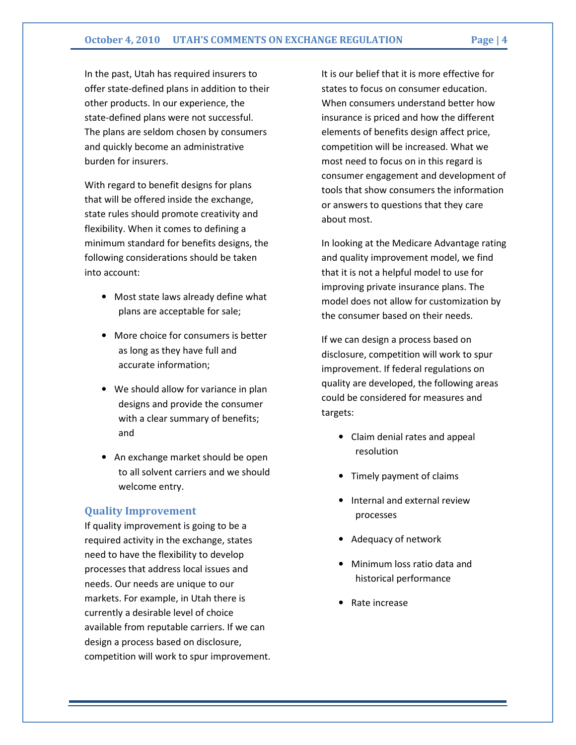In the past, Utah has required insurers to offer state-defined plans in addition to their other products. In our experience, the state-defined plans were not successful. The plans are seldom chosen by consumers and quickly become an administrative burden for insurers.

With regard to benefit designs for plans that will be offered inside the exchange, state rules should promote creativity and flexibility. When it comes to defining a minimum standard for benefits designs, the following considerations should be taken into account:

- Most state laws already define what plans are acceptable for sale;
- More choice for consumers is better as long as they have full and accurate information;
- We should allow for variance in plan designs and provide the consumer with a clear summary of benefits; and
- An exchange market should be open to all solvent carriers and we should welcome entry.

#### Quality Improvement

If quality improvement is going to be a required activity in the exchange, states need to have the flexibility to develop processes that address local issues and needs. Our needs are unique to our markets. For example, in Utah there is currently a desirable level of choice available from reputable carriers. If we can design a process based on disclosure, competition will work to spur improvement.

It is our belief that it is more effective for states to focus on consumer education. When consumers understand better how insurance is priced and how the different elements of benefits design affect price, competition will be increased. What we most need to focus on in this regard is consumer engagement and development of tools that show consumers the information or answers to questions that they care about most.

In looking at the Medicare Advantage rating and quality improvement model, we find that it is not a helpful model to use for improving private insurance plans. The model does not allow for customization by the consumer based on their needs.

If we can design a process based on disclosure, competition will work to spur improvement. If federal regulations on quality are developed, the following areas could be considered for measures and targets:

- Claim denial rates and appeal resolution
- Timely payment of claims
- Internal and external review processes
- Adequacy of network
- Minimum loss ratio data and historical performance
- Rate increase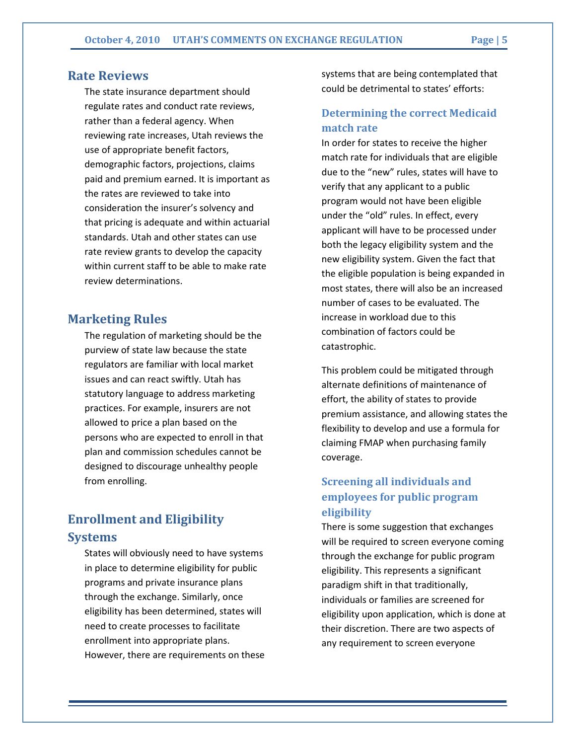### Rate Reviews

The state insurance department should regulate rates and conduct rate reviews, rather than a federal agency. When reviewing rate increases, Utah reviews the use of appropriate benefit factors, demographic factors, projections, claims paid and premium earned. It is important as the rates are reviewed to take into consideration the insurer's solvency and that pricing is adequate and within actuarial standards. Utah and other states can use rate review grants to develop the capacity within current staff to be able to make rate review determinations.

### Marketing Rules

The regulation of marketing should be the purview of state law because the state regulators are familiar with local market issues and can react swiftly. Utah has statutory language to address marketing practices. For example, insurers are not allowed to price a plan based on the persons who are expected to enroll in that plan and commission schedules cannot be designed to discourage unhealthy people from enrolling.

# Enrollment and Eligibility Systems

States will obviously need to have systems in place to determine eligibility for public programs and private insurance plans through the exchange. Similarly, once eligibility has been determined, states will need to create processes to facilitate enrollment into appropriate plans. However, there are requirements on these systems that are being contemplated that could be detrimental to states' efforts:

# Determining the correct Medicaid match rate

In order for states to receive the higher match rate for individuals that are eligible due to the "new" rules, states will have to verify that any applicant to a public program would not have been eligible under the "old" rules. In effect, every applicant will have to be processed under both the legacy eligibility system and the new eligibility system. Given the fact that the eligible population is being expanded in most states, there will also be an increased number of cases to be evaluated. The increase in workload due to this combination of factors could be catastrophic.

This problem could be mitigated through alternate definitions of maintenance of effort, the ability of states to provide premium assistance, and allowing states the flexibility to develop and use a formula for claiming FMAP when purchasing family coverage.

# Screening all individuals and employees for public program eligibility

There is some suggestion that exchanges will be required to screen everyone coming through the exchange for public program eligibility. This represents a significant paradigm shift in that traditionally, individuals or families are screened for eligibility upon application, which is done at their discretion. There are two aspects of any requirement to screen everyone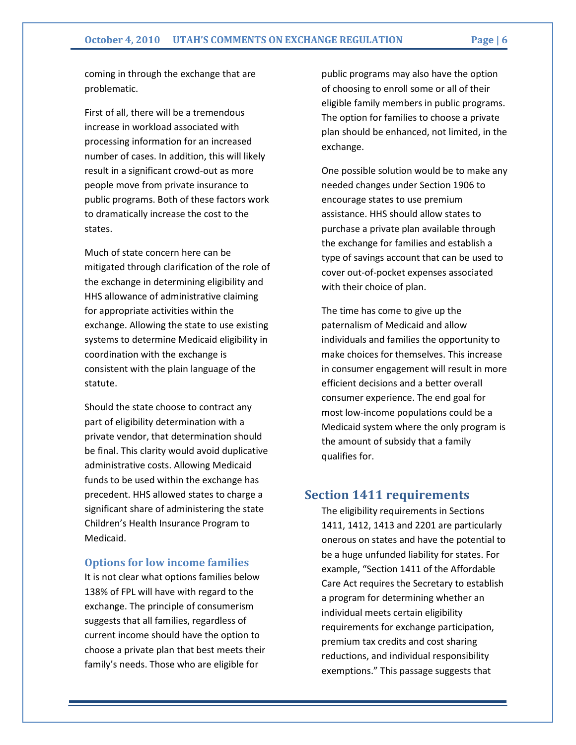coming in through the exchange that are problematic.

First of all, there will be a tremendous increase in workload associated with processing information for an increased number of cases. In addition, this will likely result in a significant crowd-out as more people move from private insurance to public programs. Both of these factors work to dramatically increase the cost to the states.

Much of state concern here can be mitigated through clarification of the role of the exchange in determining eligibility and HHS allowance of administrative claiming for appropriate activities within the exchange. Allowing the state to use existing systems to determine Medicaid eligibility in coordination with the exchange is consistent with the plain language of the statute.

Should the state choose to contract any part of eligibility determination with a private vendor, that determination should be final. This clarity would avoid duplicative administrative costs. Allowing Medicaid funds to be used within the exchange has precedent. HHS allowed states to charge a significant share of administering the state Children's Health Insurance Program to Medicaid.

#### Options for low income families

It is not clear what options families below 138% of FPL will have with regard to the exchange. The principle of consumerism suggests that all families, regardless of current income should have the option to choose a private plan that best meets their family's needs. Those who are eligible for

public programs may also have the option of choosing to enroll some or all of their eligible family members in public programs. The option for families to choose a private plan should be enhanced, not limited, in the exchange.

One possible solution would be to make any needed changes under Section 1906 to encourage states to use premium assistance. HHS should allow states to purchase a private plan available through the exchange for families and establish a type of savings account that can be used to cover out-of-pocket expenses associated with their choice of plan.

The time has come to give up the paternalism of Medicaid and allow individuals and families the opportunity to make choices for themselves. This increase in consumer engagement will result in more efficient decisions and a better overall consumer experience. The end goal for most low-income populations could be a Medicaid system where the only program is the amount of subsidy that a family qualifies for.

### Section 1411 requirements

The eligibility requirements in Sections 1411, 1412, 1413 and 2201 are particularly onerous on states and have the potential to be a huge unfunded liability for states. For example, "Section 1411 of the Affordable Care Act requires the Secretary to establish a program for determining whether an individual meets certain eligibility requirements for exchange participation, premium tax credits and cost sharing reductions, and individual responsibility exemptions." This passage suggests that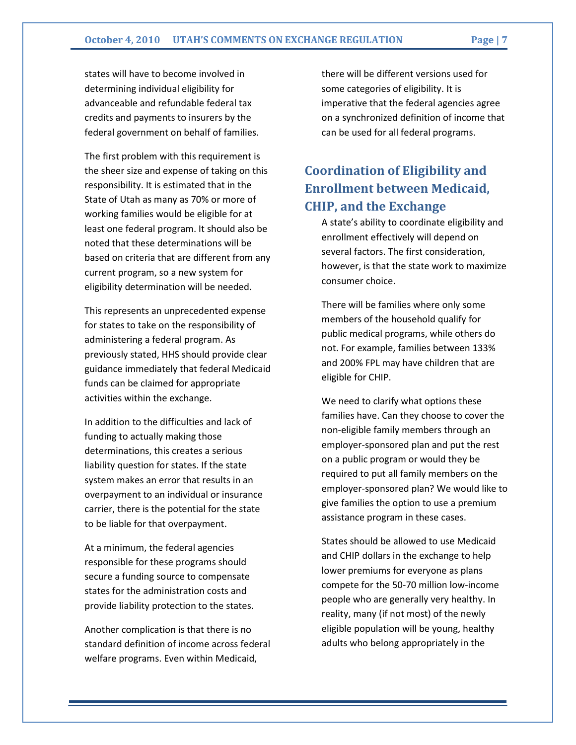states will have to become involved in determining individual eligibility for advanceable and refundable federal tax credits and payments to insurers by the federal government on behalf of families.

The first problem with this requirement is the sheer size and expense of taking on this responsibility. It is estimated that in the State of Utah as many as 70% or more of working families would be eligible for at least one federal program. It should also be noted that these determinations will be based on criteria that are different from any current program, so a new system for eligibility determination will be needed.

This represents an unprecedented expense for states to take on the responsibility of administering a federal program. As previously stated, HHS should provide clear guidance immediately that federal Medicaid funds can be claimed for appropriate activities within the exchange.

In addition to the difficulties and lack of funding to actually making those determinations, this creates a serious liability question for states. If the state system makes an error that results in an overpayment to an individual or insurance carrier, there is the potential for the state to be liable for that overpayment.

At a minimum, the federal agencies responsible for these programs should secure a funding source to compensate states for the administration costs and provide liability protection to the states.

Another complication is that there is no standard definition of income across federal welfare programs. Even within Medicaid,

there will be different versions used for some categories of eligibility. It is imperative that the federal agencies agree on a synchronized definition of income that can be used for all federal programs.

# Coordination of Eligibility and Enrollment between Medicaid, CHIP, and the Exchange

A state's ability to coordinate eligibility and enrollment effectively will depend on several factors. The first consideration, however, is that the state work to maximize consumer choice.

There will be families where only some members of the household qualify for public medical programs, while others do not. For example, families between 133% and 200% FPL may have children that are eligible for CHIP.

We need to clarify what options these families have. Can they choose to cover the non-eligible family members through an employer-sponsored plan and put the rest on a public program or would they be required to put all family members on the employer-sponsored plan? We would like to give families the option to use a premium assistance program in these cases.

States should be allowed to use Medicaid and CHIP dollars in the exchange to help lower premiums for everyone as plans compete for the 50-70 million low-income people who are generally very healthy. In reality, many (if not most) of the newly eligible population will be young, healthy adults who belong appropriately in the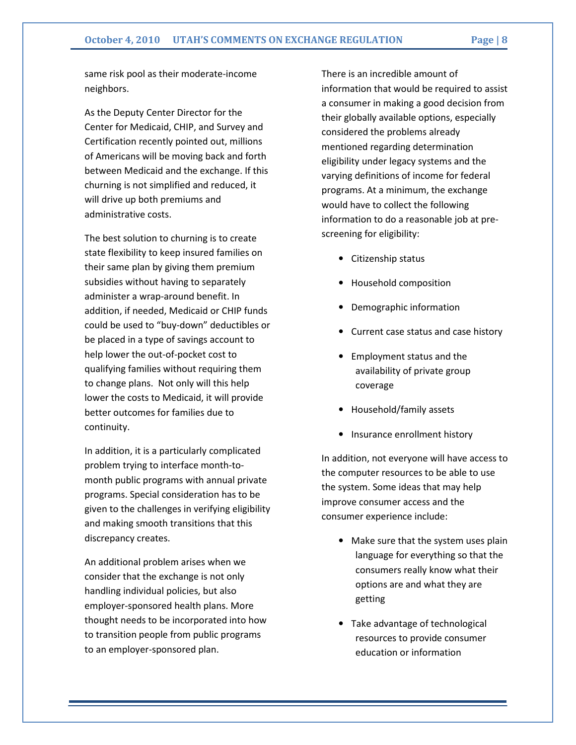same risk pool as their moderate-income neighbors.

As the Deputy Center Director for the Center for Medicaid, CHIP, and Survey and Certification recently pointed out, millions of Americans will be moving back and forth between Medicaid and the exchange. If this churning is not simplified and reduced, it will drive up both premiums and administrative costs.

The best solution to churning is to create state flexibility to keep insured families on their same plan by giving them premium subsidies without having to separately administer a wrap-around benefit. In addition, if needed, Medicaid or CHIP funds could be used to "buy-down" deductibles or be placed in a type of savings account to help lower the out-of-pocket cost to qualifying families without requiring them to change plans. Not only will this help lower the costs to Medicaid, it will provide better outcomes for families due to continuity.

In addition, it is a particularly complicated problem trying to interface month-tomonth public programs with annual private programs. Special consideration has to be given to the challenges in verifying eligibility and making smooth transitions that this discrepancy creates.

An additional problem arises when we consider that the exchange is not only handling individual policies, but also employer-sponsored health plans. More thought needs to be incorporated into how to transition people from public programs to an employer-sponsored plan.

There is an incredible amount of information that would be required to assist a consumer in making a good decision from their globally available options, especially considered the problems already mentioned regarding determination eligibility under legacy systems and the varying definitions of income for federal programs. At a minimum, the exchange would have to collect the following information to do a reasonable job at prescreening for eligibility:

- Citizenship status
- Household composition
- Demographic information
- Current case status and case history
- Employment status and the availability of private group coverage
- Household/family assets
- Insurance enrollment history

In addition, not everyone will have access to the computer resources to be able to use the system. Some ideas that may help improve consumer access and the consumer experience include:

- Make sure that the system uses plain language for everything so that the consumers really know what their options are and what they are getting
- Take advantage of technological resources to provide consumer education or information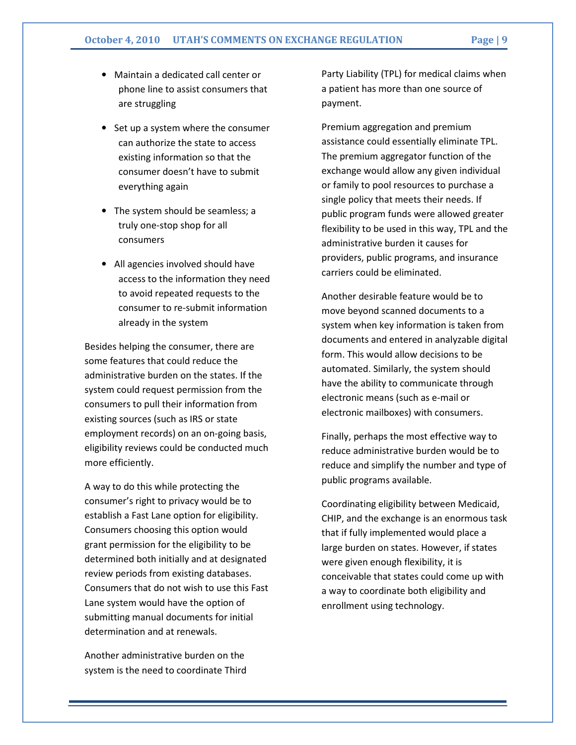- Maintain a dedicated call center or phone line to assist consumers that are struggling
- Set up a system where the consumer can authorize the state to access existing information so that the consumer doesn't have to submit everything again
- The system should be seamless; a truly one-stop shop for all consumers
- All agencies involved should have access to the information they need to avoid repeated requests to the consumer to re-submit information already in the system

Besides helping the consumer, there are some features that could reduce the administrative burden on the states. If the system could request permission from the consumers to pull their information from existing sources (such as IRS or state employment records) on an on-going basis, eligibility reviews could be conducted much more efficiently.

A way to do this while protecting the consumer's right to privacy would be to establish a Fast Lane option for eligibility. Consumers choosing this option would grant permission for the eligibility to be determined both initially and at designated review periods from existing databases. Consumers that do not wish to use this Fast Lane system would have the option of submitting manual documents for initial determination and at renewals.

Another administrative burden on the system is the need to coordinate Third Party Liability (TPL) for medical claims when a patient has more than one source of payment.

Premium aggregation and premium assistance could essentially eliminate TPL. The premium aggregator function of the exchange would allow any given individual or family to pool resources to purchase a single policy that meets their needs. If public program funds were allowed greater flexibility to be used in this way, TPL and the administrative burden it causes for providers, public programs, and insurance carriers could be eliminated.

Another desirable feature would be to move beyond scanned documents to a system when key information is taken from documents and entered in analyzable digital form. This would allow decisions to be automated. Similarly, the system should have the ability to communicate through electronic means (such as e-mail or electronic mailboxes) with consumers.

Finally, perhaps the most effective way to reduce administrative burden would be to reduce and simplify the number and type of public programs available.

Coordinating eligibility between Medicaid, CHIP, and the exchange is an enormous task that if fully implemented would place a large burden on states. However, if states were given enough flexibility, it is conceivable that states could come up with a way to coordinate both eligibility and enrollment using technology.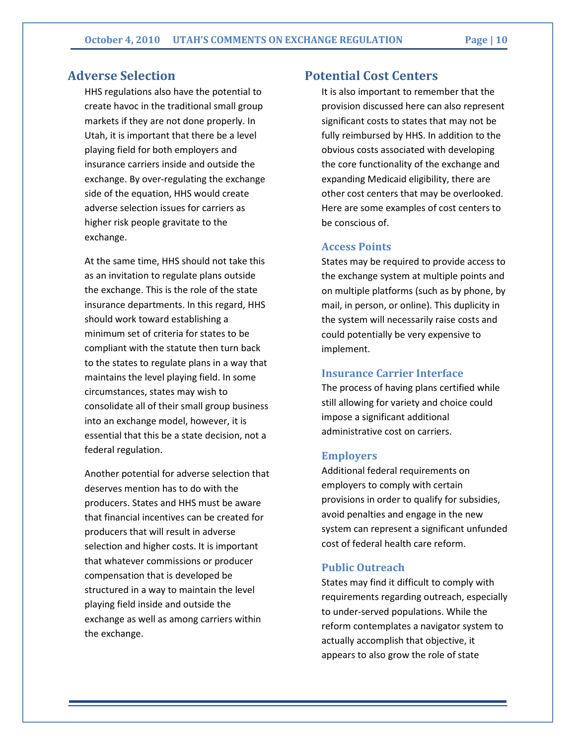# Adverse Selection

HHS regulations also have the potential to create havoc in the traditional small group markets if they are not done properly. In Utah, it is important that there be a level playing field for both employers and insurance carriers inside and outside the exchange. By over-regulating the exchange side of the equation, HHS would create adverse selection issues for carriers as higher risk people gravitate to the exchange.

At the same time, HHS should not take this as an invitation to regulate plans outside the exchange. This is the role of the state insurance departments. In this regard, HHS should work toward establishing a minimum set of criteria for states to be compliant with the statute then turn back to the states to regulate plans in a way that maintains the level playing field. In some circumstances, states may wish to consolidate all of their small group business into an exchange model, however, it is essential that this be a state decision, not a federal regulation.

Another potential for adverse selection that deserves mention has to do with the producers. States and HHS must be aware that financial incentives can be created for producers that will result in adverse selection and higher costs. It is important that whatever commissions or producer compensation that is developed be structured in a way to maintain the level playing field inside and outside the exchange as well as among carriers within the exchange.

# Potential Cost Centers

It is also important to remember that the provision discussed here can also represent significant costs to states that may not be fully reimbursed by HHS. In addition to the obvious costs associated with developing the core functionality of the exchange and expanding Medicaid eligibility, there are other cost centers that may be overlooked. Here are some examples of cost centers to be conscious of.

#### Access Points

States may be required to provide access to the exchange system at multiple points and on multiple platforms (such as by phone, by mail, in person, or online). This duplicity in the system will necessarily raise costs and could potentially be very expensive to implement.

#### Insurance Carrier Interface

The process of having plans certified while still allowing for variety and choice could impose a significant additional administrative cost on carriers.

#### Employers

Additional federal requirements on employers to comply with certain provisions in order to qualify for subsidies, avoid penalties and engage in the new system can represent a significant unfunded cost of federal health care reform.

#### Public Outreach

States may find it difficult to comply with requirements regarding outreach, especially to under-served populations. While the reform contemplates a navigator system to actually accomplish that objective, it appears to also grow the role of state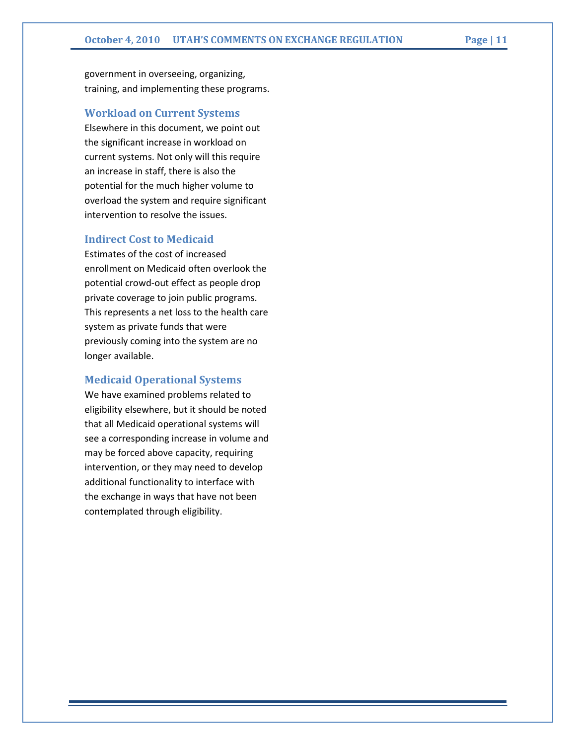government in overseeing, organizing, training, and implementing these programs.

### Workload on Current Systems

Elsewhere in this document, we point out the significant increase in workload on current systems. Not only will this require an increase in staff, there is also the potential for the much higher volume to overload the system and require significant intervention to resolve the issues.

#### Indirect Cost to Medicaid

Estimates of the cost of increased enrollment on Medicaid often overlook the potential crowd-out effect as people drop private coverage to join public programs. This represents a net loss to the health care system as private funds that were previously coming into the system are no longer available.

#### Medicaid Operational Systems

We have examined problems related to eligibility elsewhere, but it should be noted that all Medicaid operational systems will see a corresponding increase in volume and may be forced above capacity, requiring intervention, or they may need to develop additional functionality to interface with the exchange in ways that have not been contemplated through eligibility.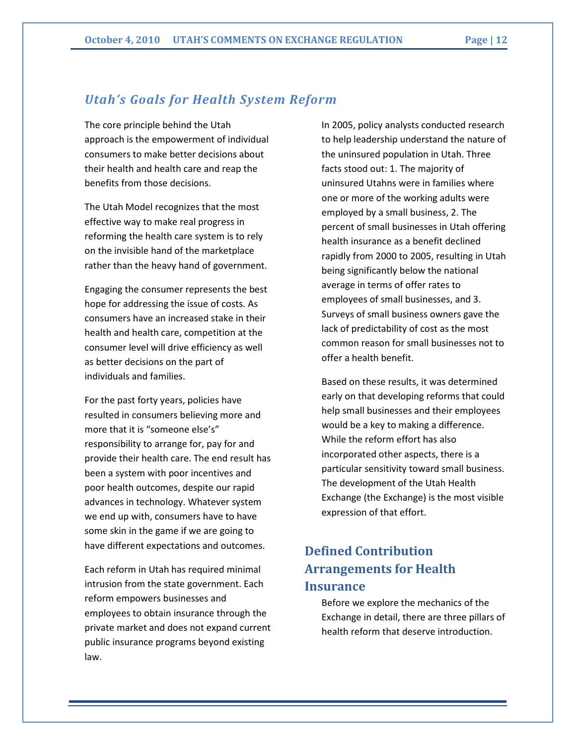# Utah's Goals for Health System Reform

The core principle behind the Utah approach is the empowerment of individual consumers to make better decisions about their health and health care and reap the benefits from those decisions.

The Utah Model recognizes that the most effective way to make real progress in reforming the health care system is to rely on the invisible hand of the marketplace rather than the heavy hand of government.

Engaging the consumer represents the best hope for addressing the issue of costs. As consumers have an increased stake in their health and health care, competition at the consumer level will drive efficiency as well as better decisions on the part of individuals and families.

For the past forty years, policies have resulted in consumers believing more and more that it is "someone else's" responsibility to arrange for, pay for and provide their health care. The end result has been a system with poor incentives and poor health outcomes, despite our rapid advances in technology. Whatever system we end up with, consumers have to have some skin in the game if we are going to have different expectations and outcomes.

Each reform in Utah has required minimal intrusion from the state government. Each reform empowers businesses and employees to obtain insurance through the private market and does not expand current public insurance programs beyond existing law.

In 2005, policy analysts conducted research to help leadership understand the nature of the uninsured population in Utah. Three facts stood out: 1. The majority of uninsured Utahns were in families where one or more of the working adults were employed by a small business, 2. The percent of small businesses in Utah offering health insurance as a benefit declined rapidly from 2000 to 2005, resulting in Utah being significantly below the national average in terms of offer rates to employees of small businesses, and 3. Surveys of small business owners gave the lack of predictability of cost as the most common reason for small businesses not to offer a health benefit.

Based on these results, it was determined early on that developing reforms that could help small businesses and their employees would be a key to making a difference. While the reform effort has also incorporated other aspects, there is a particular sensitivity toward small business. The development of the Utah Health Exchange (the Exchange) is the most visible expression of that effort.

# Defined Contribution Arrangements for Health **Insurance**

Before we explore the mechanics of the Exchange in detail, there are three pillars of health reform that deserve introduction.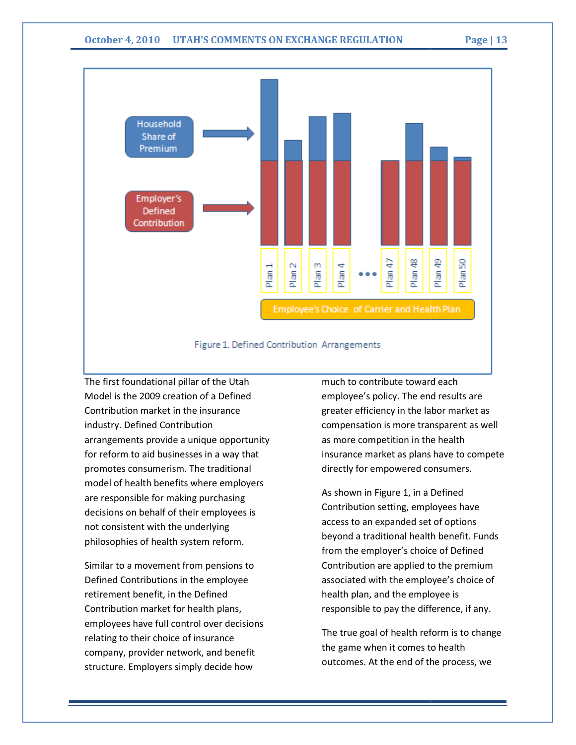

#### Figure 1. Defined Contribution Arrangements

The first foundational pillar of the Utah Model is the 2009 creation of a Defined Contribution market in the insurance industry. Defined Contribution arrangements provide a unique opportunity for reform to aid businesses in a way that promotes consumerism. The traditional model of health benefits where employers are responsible for making purchasing decisions on behalf of their employees is not consistent with the underlying philosophies of health system reform. iform to aid businesses in a way that<br>the traditional<br>otes consumerism. The traditional<br>el of health benefits where employers<br>esponsible for making purchasing<br>ions on behalf of their employees is<br>onsistent with the underly The first foundational pillar of the Utah<br>
Model is the 2009 creation of a Defined<br>
Contribution market in the insurance<br>
compensation is more transparent<br>
industry. Defined Contribution<br>
industry. Defined Contribution<br>
in

Similar to a movement from pensions to Defined Contributions in the employee retirement benefit, in the Defined Contribution market for health plans employees have full control over decisions relating to their choice of insurance company, provider network, and benefit structure. Employers simply decide how

employee's policy. The end results are greater efficiency in the labor market as compensation is more transparent as well as more competition in the health insurance market as plans have to compete directly for empowered consumers. much to contribute toward each greater efficiency in the labor market<br>compensation is more transparent as<br>as more competition in the health<br>insurance market as plans have to cor<br>directly for empowered consumers.<br>As shown in Figure 1, in a Defined

As shown in Figure 1, in a Defined Contribution setting, employees have<br>access to an expanded set of options access to an expanded set of beyond a traditional health benefit. Funds from the employer's choice of Defined Contribution are applied to the premium associated with the employee's choice of health plan, and the employee is responsible to pay the difference, if any. are applied to the premium<br>th the employee's choice of<br>and the employee is<br>o pay the difference, if any.

The true goal of health reform is to change The true goal of health reform is t<mark>c</mark><br>the game when it comes to health outcomes. At the end of the process, we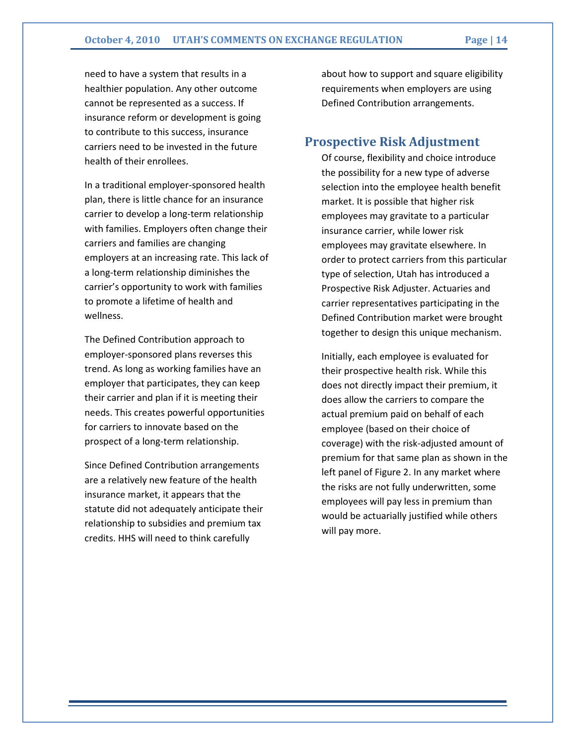need to have a system that results in a healthier population. Any other outcome cannot be represented as a success. If insurance reform or development is going to contribute to this success, insurance carriers need to be invested in the future health of their enrollees.

In a traditional employer-sponsored health plan, there is little chance for an insurance carrier to develop a long-term relationship with families. Employers often change their carriers and families are changing employers at an increasing rate. This lack of a long-term relationship diminishes the carrier's opportunity to work with families to promote a lifetime of health and wellness.

The Defined Contribution approach to employer-sponsored plans reverses this trend. As long as working families have an employer that participates, they can keep their carrier and plan if it is meeting their needs. This creates powerful opportunities for carriers to innovate based on the prospect of a long-term relationship.

Since Defined Contribution arrangements are a relatively new feature of the health insurance market, it appears that the statute did not adequately anticipate their relationship to subsidies and premium tax credits. HHS will need to think carefully

about how to support and square eligibility requirements when employers are using Defined Contribution arrangements.

### Prospective Risk Adjustment

Of course, flexibility and choice introduce the possibility for a new type of adverse selection into the employee health benefit market. It is possible that higher risk employees may gravitate to a particular insurance carrier, while lower risk employees may gravitate elsewhere. In order to protect carriers from this particular type of selection, Utah has introduced a Prospective Risk Adjuster. Actuaries and carrier representatives participating in the Defined Contribution market were brought together to design this unique mechanism.

Initially, each employee is evaluated for their prospective health risk. While this does not directly impact their premium, it does allow the carriers to compare the actual premium paid on behalf of each employee (based on their choice of coverage) with the risk-adjusted amount of premium for that same plan as shown in the left panel of Figure 2. In any market where the risks are not fully underwritten, some employees will pay less in premium than would be actuarially justified while others will pay more.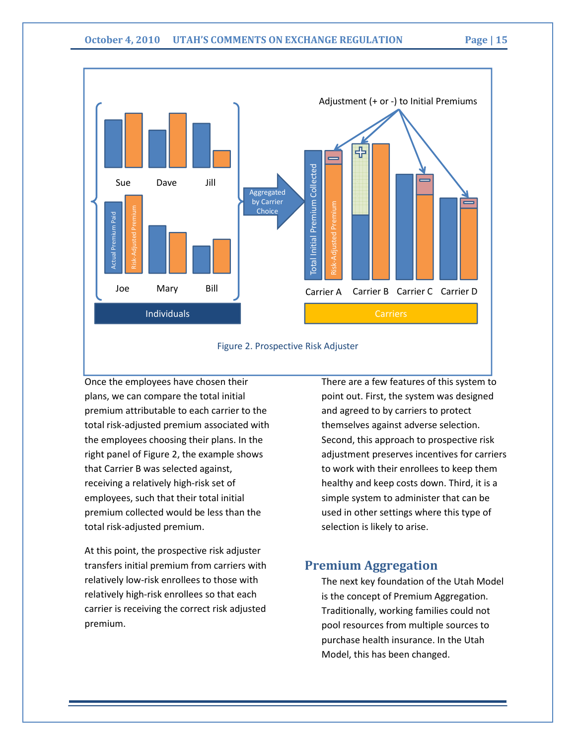

#### Figure 2. Prospective Risk Adjuster

Once the employees have chosen their plans, we can compare the total initial premium attributable to each carrier to the total risk-adjusted premium associated with the employees choosing their plans. In the right panel of Figure 2, the example shows that Carrier B was selected against, receiving a relatively high-risk set of employees, such that their total initial premium collected would be less than the total risk-adjusted premium.

At this point, the prospective risk adjuster transfers initial premium from carriers with relatively low-risk enrollees to those with relatively high-risk enrollees so that each carrier is receiving the correct risk adjusted premium.

There are a few features of this system to point out. First, the system was designed and agreed to by carriers to protect themselves against adverse selection. Second, this approach to prospective risk adjustment preserves incentives for carriers to work with their enrollees to keep them healthy and keep costs down. Third, it is a simple system to administer that can be used in other settings where this type of selection is likely to arise.

# Premium Aggregation

The next key foundation of the Utah Model is the concept of Premium Aggregation. Traditionally, working families could not pool resources from multiple sources to purchase health insurance. In the Utah Model, this has been changed.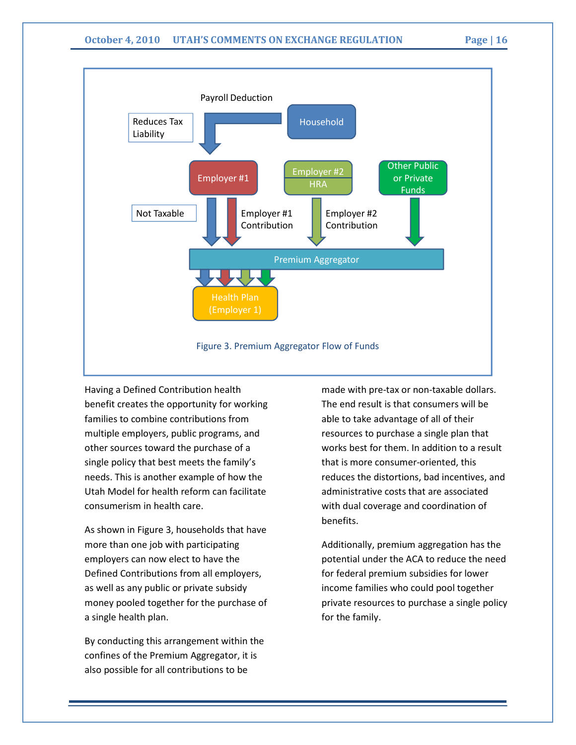

Having a Defined Contribution health benefit creates the opportunity for working families to combine contributions from multiple employers, public programs, and other sources toward the purchase of a single policy that best meets the family's needs. This is another example of how the Utah Model for health reform can facilitate consumerism in health care.

As shown in Figure 3, households that have more than one job with participating employers can now elect to have the Defined Contributions from all employers, as well as any public or private subsidy money pooled together for the purchase of a single health plan.

By conducting this arrangement within the confines of the Premium Aggregator, it is also possible for all contributions to be

made with pre-tax or non-taxable dollars. The end result is that consumers will be able to take advantage of all of their resources to purchase a single plan that works best for them. In addition to a result that is more consumer-oriented, this reduces the distortions, bad incentives, and administrative costs that are associated with dual coverage and coordination of benefits.

Additionally, premium aggregation has the potential under the ACA to reduce the need for federal premium subsidies for lower income families who could pool together private resources to purchase a single policy for the family.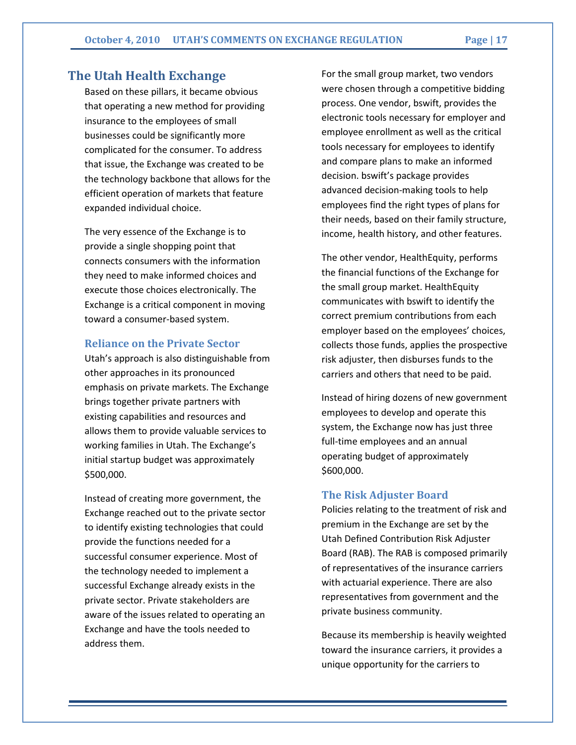# The Utah Health Exchange

Based on these pillars, it became obvious that operating a new method for providing insurance to the employees of small businesses could be significantly more complicated for the consumer. To address that issue, the Exchange was created to be the technology backbone that allows for the efficient operation of markets that feature expanded individual choice.

The very essence of the Exchange is to provide a single shopping point that connects consumers with the information they need to make informed choices and execute those choices electronically. The Exchange is a critical component in moving toward a consumer-based system.

#### Reliance on the Private Sector

Utah's approach is also distinguishable from other approaches in its pronounced emphasis on private markets. The Exchange brings together private partners with existing capabilities and resources and allows them to provide valuable services to working families in Utah. The Exchange's initial startup budget was approximately \$500,000.

Instead of creating more government, the Exchange reached out to the private sector to identify existing technologies that could provide the functions needed for a successful consumer experience. Most of the technology needed to implement a successful Exchange already exists in the private sector. Private stakeholders are aware of the issues related to operating an Exchange and have the tools needed to address them.

For the small group market, two vendors were chosen through a competitive bidding process. One vendor, bswift, provides the electronic tools necessary for employer and employee enrollment as well as the critical tools necessary for employees to identify and compare plans to make an informed decision. bswift's package provides advanced decision-making tools to help employees find the right types of plans for their needs, based on their family structure, income, health history, and other features.

The other vendor, HealthEquity, performs the financial functions of the Exchange for the small group market. HealthEquity communicates with bswift to identify the correct premium contributions from each employer based on the employees' choices, collects those funds, applies the prospective risk adjuster, then disburses funds to the carriers and others that need to be paid.

Instead of hiring dozens of new government employees to develop and operate this system, the Exchange now has just three full-time employees and an annual operating budget of approximately \$600,000.

#### The Risk Adjuster Board

Policies relating to the treatment of risk and premium in the Exchange are set by the Utah Defined Contribution Risk Adjuster Board (RAB). The RAB is composed primarily of representatives of the insurance carriers with actuarial experience. There are also representatives from government and the private business community.

Because its membership is heavily weighted toward the insurance carriers, it provides a unique opportunity for the carriers to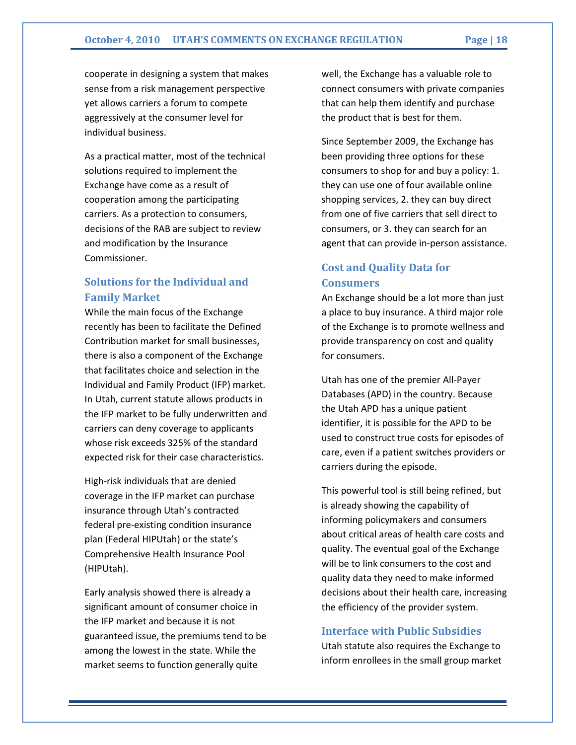cooperate in designing a system that makes sense from a risk management perspective yet allows carriers a forum to compete aggressively at the consumer level for individual business.

As a practical matter, most of the technical solutions required to implement the Exchange have come as a result of cooperation among the participating carriers. As a protection to consumers, decisions of the RAB are subject to review and modification by the Insurance Commissioner.

# Solutions for the Individual and Family Market

While the main focus of the Exchange recently has been to facilitate the Defined Contribution market for small businesses, there is also a component of the Exchange that facilitates choice and selection in the Individual and Family Product (IFP) market. In Utah, current statute allows products in the IFP market to be fully underwritten and carriers can deny coverage to applicants whose risk exceeds 325% of the standard expected risk for their case characteristics.

High-risk individuals that are denied coverage in the IFP market can purchase insurance through Utah's contracted federal pre-existing condition insurance plan (Federal HIPUtah) or the state's Comprehensive Health Insurance Pool (HIPUtah).

Early analysis showed there is already a significant amount of consumer choice in the IFP market and because it is not guaranteed issue, the premiums tend to be among the lowest in the state. While the market seems to function generally quite

well, the Exchange has a valuable role to connect consumers with private companies that can help them identify and purchase the product that is best for them.

Since September 2009, the Exchange has been providing three options for these consumers to shop for and buy a policy: 1. they can use one of four available online shopping services, 2. they can buy direct from one of five carriers that sell direct to consumers, or 3. they can search for an agent that can provide in-person assistance.

# Cost and Quality Data for Consumers

An Exchange should be a lot more than just a place to buy insurance. A third major role of the Exchange is to promote wellness and provide transparency on cost and quality for consumers.

Utah has one of the premier All-Payer Databases (APD) in the country. Because the Utah APD has a unique patient identifier, it is possible for the APD to be used to construct true costs for episodes of care, even if a patient switches providers or carriers during the episode.

This powerful tool is still being refined, but is already showing the capability of informing policymakers and consumers about critical areas of health care costs and quality. The eventual goal of the Exchange will be to link consumers to the cost and quality data they need to make informed decisions about their health care, increasing the efficiency of the provider system.

#### Interface with Public Subsidies

Utah statute also requires the Exchange to inform enrollees in the small group market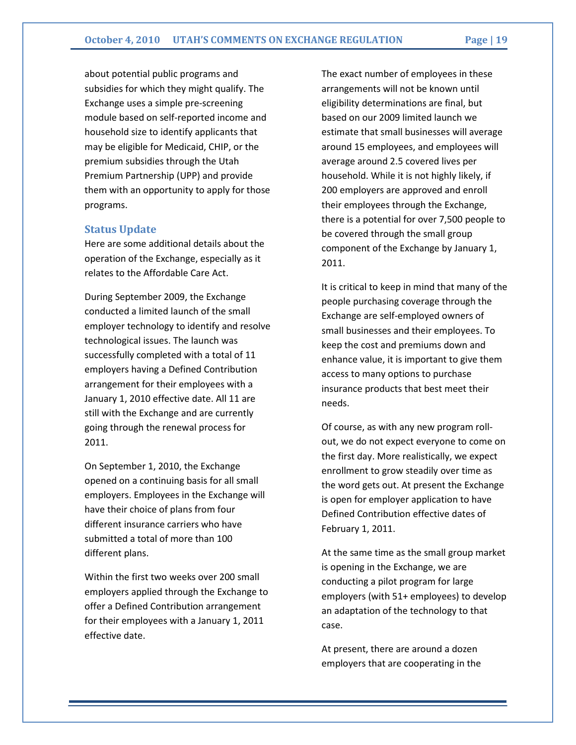about potential public programs and subsidies for which they might qualify. The Exchange uses a simple pre-screening module based on self-reported income and household size to identify applicants that may be eligible for Medicaid, CHIP, or the premium subsidies through the Utah Premium Partnership (UPP) and provide them with an opportunity to apply for those programs.

#### Status Update

Here are some additional details about the operation of the Exchange, especially as it relates to the Affordable Care Act.

During September 2009, the Exchange conducted a limited launch of the small employer technology to identify and resolve technological issues. The launch was successfully completed with a total of 11 employers having a Defined Contribution arrangement for their employees with a January 1, 2010 effective date. All 11 are still with the Exchange and are currently going through the renewal process for 2011.

On September 1, 2010, the Exchange opened on a continuing basis for all small employers. Employees in the Exchange will have their choice of plans from four different insurance carriers who have submitted a total of more than 100 different plans.

Within the first two weeks over 200 small employers applied through the Exchange to offer a Defined Contribution arrangement for their employees with a January 1, 2011 effective date.

The exact number of employees in these arrangements will not be known until eligibility determinations are final, but based on our 2009 limited launch we estimate that small businesses will average around 15 employees, and employees will average around 2.5 covered lives per household. While it is not highly likely, if 200 employers are approved and enroll their employees through the Exchange, there is a potential for over 7,500 people to be covered through the small group component of the Exchange by January 1, 2011.

It is critical to keep in mind that many of the people purchasing coverage through the Exchange are self-employed owners of small businesses and their employees. To keep the cost and premiums down and enhance value, it is important to give them access to many options to purchase insurance products that best meet their needs.

Of course, as with any new program rollout, we do not expect everyone to come on the first day. More realistically, we expect enrollment to grow steadily over time as the word gets out. At present the Exchange is open for employer application to have Defined Contribution effective dates of February 1, 2011.

At the same time as the small group market is opening in the Exchange, we are conducting a pilot program for large employers (with 51+ employees) to develop an adaptation of the technology to that case.

At present, there are around a dozen employers that are cooperating in the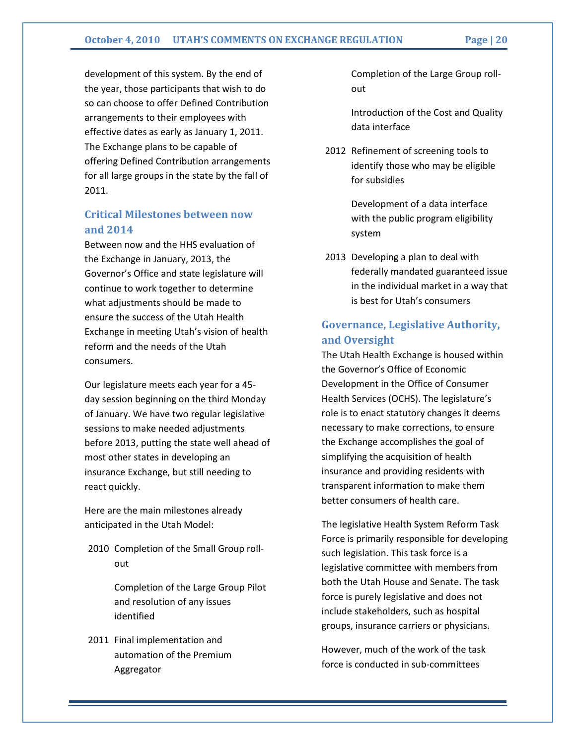development of this system. By the end of the year, those participants that wish to do so can choose to offer Defined Contribution arrangements to their employees with effective dates as early as January 1, 2011. The Exchange plans to be capable of offering Defined Contribution arrangements for all large groups in the state by the fall of 2011.

## Critical Milestones between now and 2014

Between now and the HHS evaluation of the Exchange in January, 2013, the Governor's Office and state legislature will continue to work together to determine what adjustments should be made to ensure the success of the Utah Health Exchange in meeting Utah's vision of health reform and the needs of the Utah consumers.

Our legislature meets each year for a 45 day session beginning on the third Monday of January. We have two regular legislative sessions to make needed adjustments before 2013, putting the state well ahead of most other states in developing an insurance Exchange, but still needing to react quickly.

Here are the main milestones already anticipated in the Utah Model:

2010 Completion of the Small Group rollout

> Completion of the Large Group Pilot and resolution of any issues identified

2011 Final implementation and automation of the Premium Aggregator

 Completion of the Large Group rollout

 Introduction of the Cost and Quality data interface

2012 Refinement of screening tools to identify those who may be eligible for subsidies

> Development of a data interface with the public program eligibility system

2013 Developing a plan to deal with federally mandated guaranteed issue in the individual market in a way that is best for Utah's consumers

# Governance, Legislative Authority, and Oversight

The Utah Health Exchange is housed within the Governor's Office of Economic Development in the Office of Consumer Health Services (OCHS). The legislature's role is to enact statutory changes it deems necessary to make corrections, to ensure the Exchange accomplishes the goal of simplifying the acquisition of health insurance and providing residents with transparent information to make them better consumers of health care.

The legislative Health System Reform Task Force is primarily responsible for developing such legislation. This task force is a legislative committee with members from both the Utah House and Senate. The task force is purely legislative and does not include stakeholders, such as hospital groups, insurance carriers or physicians.

However, much of the work of the task force is conducted in sub-committees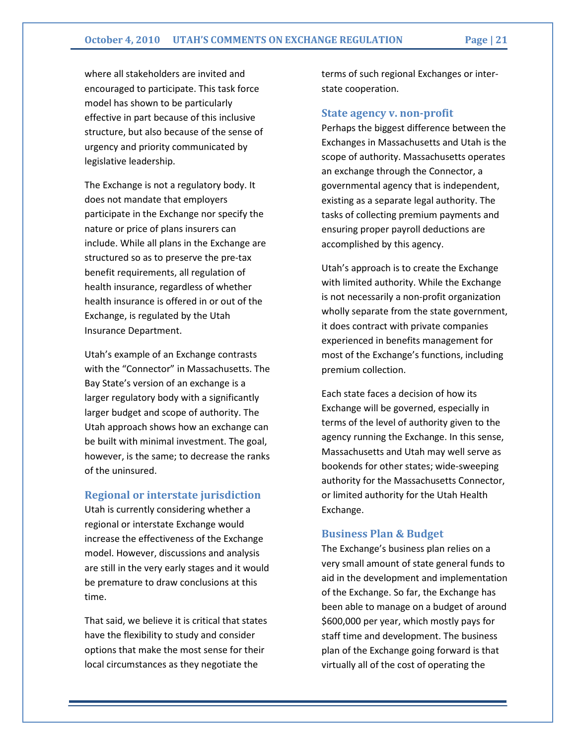where all stakeholders are invited and encouraged to participate. This task force model has shown to be particularly effective in part because of this inclusive structure, but also because of the sense of urgency and priority communicated by legislative leadership.

The Exchange is not a regulatory body. It does not mandate that employers participate in the Exchange nor specify the nature or price of plans insurers can include. While all plans in the Exchange are structured so as to preserve the pre-tax benefit requirements, all regulation of health insurance, regardless of whether health insurance is offered in or out of the Exchange, is regulated by the Utah Insurance Department.

Utah's example of an Exchange contrasts with the "Connector" in Massachusetts. The Bay State's version of an exchange is a larger regulatory body with a significantly larger budget and scope of authority. The Utah approach shows how an exchange can be built with minimal investment. The goal, however, is the same; to decrease the ranks of the uninsured.

#### Regional or interstate jurisdiction

Utah is currently considering whether a regional or interstate Exchange would increase the effectiveness of the Exchange model. However, discussions and analysis are still in the very early stages and it would be premature to draw conclusions at this time.

That said, we believe it is critical that states have the flexibility to study and consider options that make the most sense for their local circumstances as they negotiate the

terms of such regional Exchanges or interstate cooperation.

#### State agency v. non-profit

Perhaps the biggest difference between the Exchanges in Massachusetts and Utah is the scope of authority. Massachusetts operates an exchange through the Connector, a governmental agency that is independent, existing as a separate legal authority. The tasks of collecting premium payments and ensuring proper payroll deductions are accomplished by this agency.

Utah's approach is to create the Exchange with limited authority. While the Exchange is not necessarily a non-profit organization wholly separate from the state government, it does contract with private companies experienced in benefits management for most of the Exchange's functions, including premium collection.

Each state faces a decision of how its Exchange will be governed, especially in terms of the level of authority given to the agency running the Exchange. In this sense, Massachusetts and Utah may well serve as bookends for other states; wide-sweeping authority for the Massachusetts Connector, or limited authority for the Utah Health Exchange.

#### Business Plan & Budget

The Exchange's business plan relies on a very small amount of state general funds to aid in the development and implementation of the Exchange. So far, the Exchange has been able to manage on a budget of around \$600,000 per year, which mostly pays for staff time and development. The business plan of the Exchange going forward is that virtually all of the cost of operating the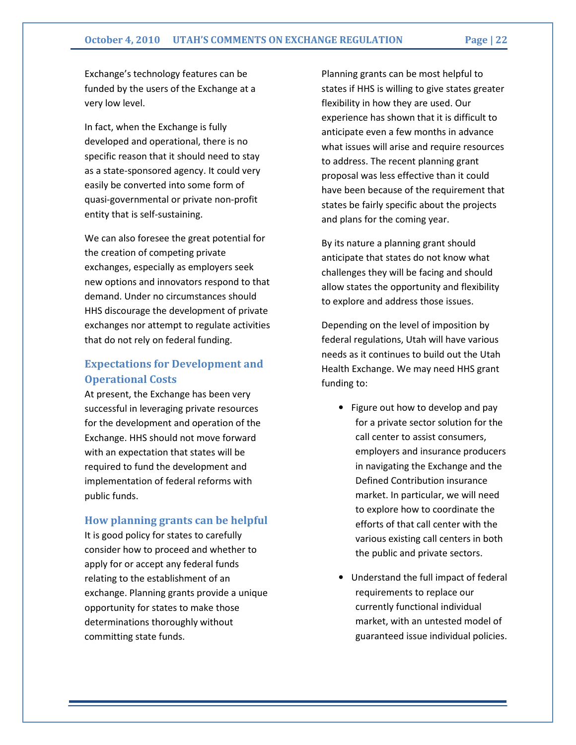#### October 4, 2010 UTAH'S COMMENTS ON EXCHANGE REGULATION Page | 22

Exchange's technology features can be funded by the users of the Exchange at a very low level.

In fact, when the Exchange is fully developed and operational, there is no specific reason that it should need to stay as a state-sponsored agency. It could very easily be converted into some form of quasi-governmental or private non-profit entity that is self-sustaining.

We can also foresee the great potential for the creation of competing private exchanges, especially as employers seek new options and innovators respond to that demand. Under no circumstances should HHS discourage the development of private exchanges nor attempt to regulate activities that do not rely on federal funding.

# Expectations for Development and Operational Costs

At present, the Exchange has been very successful in leveraging private resources for the development and operation of the Exchange. HHS should not move forward with an expectation that states will be required to fund the development and implementation of federal reforms with public funds.

#### How planning grants can be helpful

It is good policy for states to carefully consider how to proceed and whether to apply for or accept any federal funds relating to the establishment of an exchange. Planning grants provide a unique opportunity for states to make those determinations thoroughly without committing state funds.

Planning grants can be most helpful to states if HHS is willing to give states greater flexibility in how they are used. Our experience has shown that it is difficult to anticipate even a few months in advance what issues will arise and require resources to address. The recent planning grant proposal was less effective than it could have been because of the requirement that states be fairly specific about the projects and plans for the coming year.

By its nature a planning grant should anticipate that states do not know what challenges they will be facing and should allow states the opportunity and flexibility to explore and address those issues.

Depending on the level of imposition by federal regulations, Utah will have various needs as it continues to build out the Utah Health Exchange. We may need HHS grant funding to:

- Figure out how to develop and pay for a private sector solution for the call center to assist consumers, employers and insurance producers in navigating the Exchange and the Defined Contribution insurance market. In particular, we will need to explore how to coordinate the efforts of that call center with the various existing call centers in both the public and private sectors.
- Understand the full impact of federal requirements to replace our currently functional individual market, with an untested model of guaranteed issue individual policies.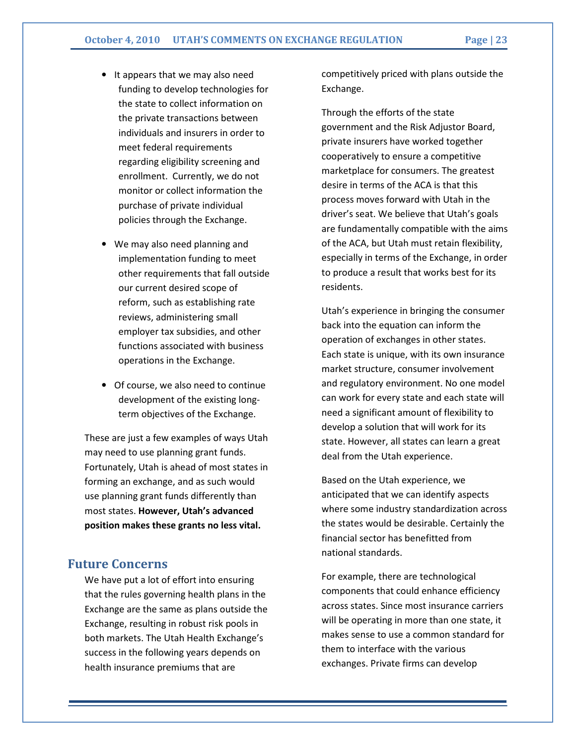- It appears that we may also need funding to develop technologies for the state to collect information on the private transactions between individuals and insurers in order to meet federal requirements regarding eligibility screening and enrollment. Currently, we do not monitor or collect information the purchase of private individual policies through the Exchange.
- We may also need planning and implementation funding to meet other requirements that fall outside our current desired scope of reform, such as establishing rate reviews, administering small employer tax subsidies, and other functions associated with business operations in the Exchange.
- Of course, we also need to continue development of the existing longterm objectives of the Exchange.

These are just a few examples of ways Utah may need to use planning grant funds. Fortunately, Utah is ahead of most states in forming an exchange, and as such would use planning grant funds differently than most states. However, Utah's advanced position makes these grants no less vital.

### Future Concerns

We have put a lot of effort into ensuring that the rules governing health plans in the Exchange are the same as plans outside the Exchange, resulting in robust risk pools in both markets. The Utah Health Exchange's success in the following years depends on health insurance premiums that are

competitively priced with plans outside the Exchange.

Through the efforts of the state government and the Risk Adjustor Board, private insurers have worked together cooperatively to ensure a competitive marketplace for consumers. The greatest desire in terms of the ACA is that this process moves forward with Utah in the driver's seat. We believe that Utah's goals are fundamentally compatible with the aims of the ACA, but Utah must retain flexibility, especially in terms of the Exchange, in order to produce a result that works best for its residents.

Utah's experience in bringing the consumer back into the equation can inform the operation of exchanges in other states. Each state is unique, with its own insurance market structure, consumer involvement and regulatory environment. No one model can work for every state and each state will need a significant amount of flexibility to develop a solution that will work for its state. However, all states can learn a great deal from the Utah experience.

Based on the Utah experience, we anticipated that we can identify aspects where some industry standardization across the states would be desirable. Certainly the financial sector has benefitted from national standards.

For example, there are technological components that could enhance efficiency across states. Since most insurance carriers will be operating in more than one state, it makes sense to use a common standard for them to interface with the various exchanges. Private firms can develop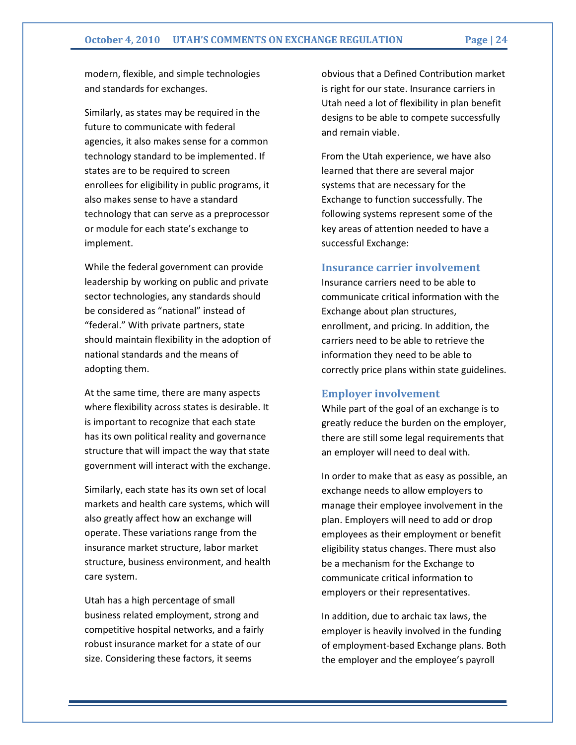modern, flexible, and simple technologies and standards for exchanges.

Similarly, as states may be required in the future to communicate with federal agencies, it also makes sense for a common technology standard to be implemented. If states are to be required to screen enrollees for eligibility in public programs, it also makes sense to have a standard technology that can serve as a preprocessor or module for each state's exchange to implement.

While the federal government can provide leadership by working on public and private sector technologies, any standards should be considered as "national" instead of "federal." With private partners, state should maintain flexibility in the adoption of national standards and the means of adopting them.

At the same time, there are many aspects where flexibility across states is desirable. It is important to recognize that each state has its own political reality and governance structure that will impact the way that state government will interact with the exchange.

Similarly, each state has its own set of local markets and health care systems, which will also greatly affect how an exchange will operate. These variations range from the insurance market structure, labor market structure, business environment, and health care system.

Utah has a high percentage of small business related employment, strong and competitive hospital networks, and a fairly robust insurance market for a state of our size. Considering these factors, it seems

obvious that a Defined Contribution market is right for our state. Insurance carriers in Utah need a lot of flexibility in plan benefit designs to be able to compete successfully and remain viable.

From the Utah experience, we have also learned that there are several major systems that are necessary for the Exchange to function successfully. The following systems represent some of the key areas of attention needed to have a successful Exchange:

#### Insurance carrier involvement

Insurance carriers need to be able to communicate critical information with the Exchange about plan structures, enrollment, and pricing. In addition, the carriers need to be able to retrieve the information they need to be able to correctly price plans within state guidelines.

#### Employer involvement

While part of the goal of an exchange is to greatly reduce the burden on the employer, there are still some legal requirements that an employer will need to deal with.

In order to make that as easy as possible, an exchange needs to allow employers to manage their employee involvement in the plan. Employers will need to add or drop employees as their employment or benefit eligibility status changes. There must also be a mechanism for the Exchange to communicate critical information to employers or their representatives.

In addition, due to archaic tax laws, the employer is heavily involved in the funding of employment-based Exchange plans. Both the employer and the employee's payroll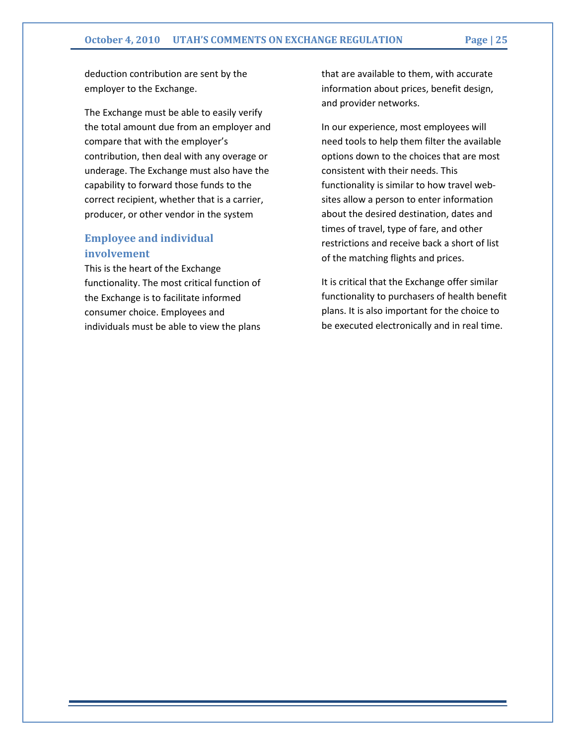deduction contribution are sent by the employer to the Exchange.

The Exchange must be able to easily verify the total amount due from an employer and compare that with the employer's contribution, then deal with any overage or underage. The Exchange must also have the capability to forward those funds to the correct recipient, whether that is a carrier, producer, or other vendor in the system

### Employee and individual involvement

This is the heart of the Exchange functionality. The most critical function of the Exchange is to facilitate informed consumer choice. Employees and individuals must be able to view the plans

that are available to them, with accurate information about prices, benefit design, and provider networks.

In our experience, most employees will need tools to help them filter the available options down to the choices that are most consistent with their needs. This functionality is similar to how travel websites allow a person to enter information about the desired destination, dates and times of travel, type of fare, and other restrictions and receive back a short of list of the matching flights and prices.

It is critical that the Exchange offer similar functionality to purchasers of health benefit plans. It is also important for the choice to be executed electronically and in real time.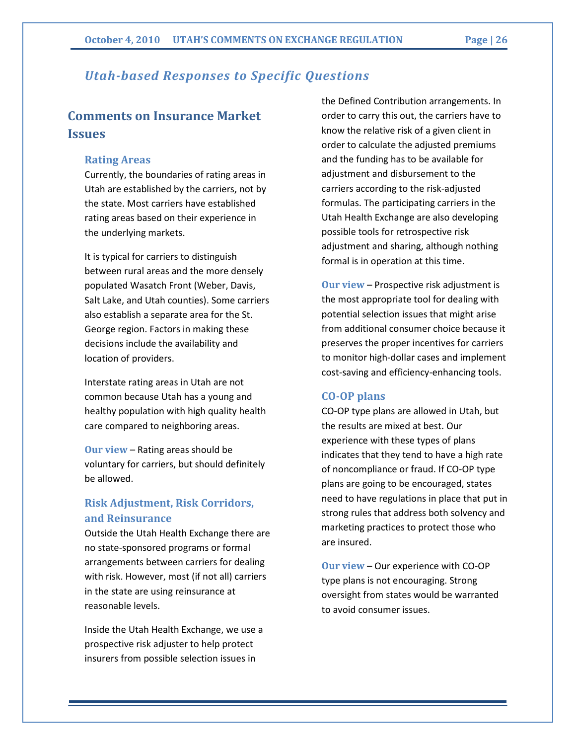# Utah-based Responses to Specific Questions

# Comments on Insurance Market Issues

#### Rating Areas

Currently, the boundaries of rating areas in Utah are established by the carriers, not by the state. Most carriers have established rating areas based on their experience in the underlying markets.

It is typical for carriers to distinguish between rural areas and the more densely populated Wasatch Front (Weber, Davis, Salt Lake, and Utah counties). Some carriers also establish a separate area for the St. George region. Factors in making these decisions include the availability and location of providers.

Interstate rating areas in Utah are not common because Utah has a young and healthy population with high quality health care compared to neighboring areas.

Our view – Rating areas should be voluntary for carriers, but should definitely be allowed.

# Risk Adjustment, Risk Corridors, and Reinsurance

Outside the Utah Health Exchange there are no state-sponsored programs or formal arrangements between carriers for dealing with risk. However, most (if not all) carriers in the state are using reinsurance at reasonable levels.

Inside the Utah Health Exchange, we use a prospective risk adjuster to help protect insurers from possible selection issues in

the Defined Contribution arrangements. In order to carry this out, the carriers have to know the relative risk of a given client in order to calculate the adjusted premiums and the funding has to be available for adjustment and disbursement to the carriers according to the risk-adjusted formulas. The participating carriers in the Utah Health Exchange are also developing possible tools for retrospective risk adjustment and sharing, although nothing formal is in operation at this time.

Our view – Prospective risk adjustment is the most appropriate tool for dealing with potential selection issues that might arise from additional consumer choice because it preserves the proper incentives for carriers to monitor high-dollar cases and implement cost-saving and efficiency-enhancing tools.

#### CO-OP plans

CO-OP type plans are allowed in Utah, but the results are mixed at best. Our experience with these types of plans indicates that they tend to have a high rate of noncompliance or fraud. If CO-OP type plans are going to be encouraged, states need to have regulations in place that put in strong rules that address both solvency and marketing practices to protect those who are insured.

Our view – Our experience with CO-OP type plans is not encouraging. Strong oversight from states would be warranted to avoid consumer issues.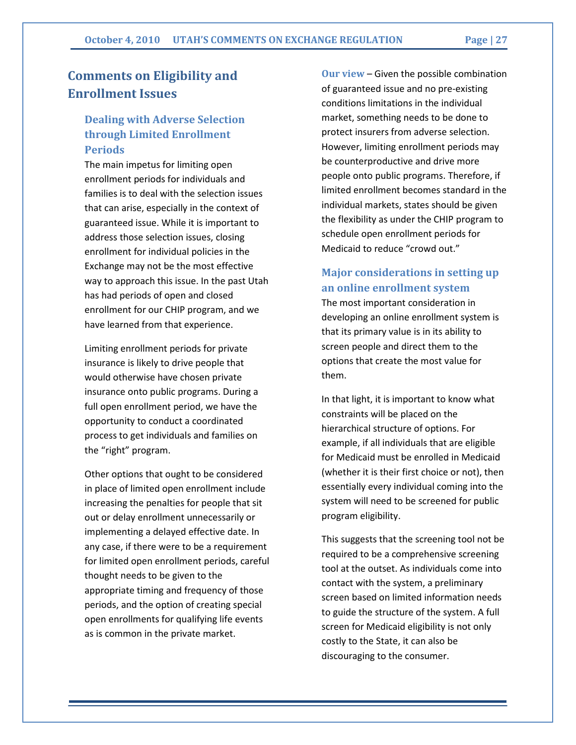# Comments on Eligibility and Enrollment Issues

# Dealing with Adverse Selection through Limited Enrollment Periods

The main impetus for limiting open enrollment periods for individuals and families is to deal with the selection issues that can arise, especially in the context of guaranteed issue. While it is important to address those selection issues, closing enrollment for individual policies in the Exchange may not be the most effective way to approach this issue. In the past Utah has had periods of open and closed enrollment for our CHIP program, and we have learned from that experience.

Limiting enrollment periods for private insurance is likely to drive people that would otherwise have chosen private insurance onto public programs. During a full open enrollment period, we have the opportunity to conduct a coordinated process to get individuals and families on the "right" program.

Other options that ought to be considered in place of limited open enrollment include increasing the penalties for people that sit out or delay enrollment unnecessarily or implementing a delayed effective date. In any case, if there were to be a requirement for limited open enrollment periods, careful thought needs to be given to the appropriate timing and frequency of those periods, and the option of creating special open enrollments for qualifying life events as is common in the private market.

Our view – Given the possible combination of guaranteed issue and no pre-existing conditions limitations in the individual market, something needs to be done to protect insurers from adverse selection. However, limiting enrollment periods may be counterproductive and drive more people onto public programs. Therefore, if limited enrollment becomes standard in the individual markets, states should be given the flexibility as under the CHIP program to schedule open enrollment periods for Medicaid to reduce "crowd out."

# Major considerations in setting up an online enrollment system

The most important consideration in developing an online enrollment system is that its primary value is in its ability to screen people and direct them to the options that create the most value for them.

In that light, it is important to know what constraints will be placed on the hierarchical structure of options. For example, if all individuals that are eligible for Medicaid must be enrolled in Medicaid (whether it is their first choice or not), then essentially every individual coming into the system will need to be screened for public program eligibility.

This suggests that the screening tool not be required to be a comprehensive screening tool at the outset. As individuals come into contact with the system, a preliminary screen based on limited information needs to guide the structure of the system. A full screen for Medicaid eligibility is not only costly to the State, it can also be discouraging to the consumer.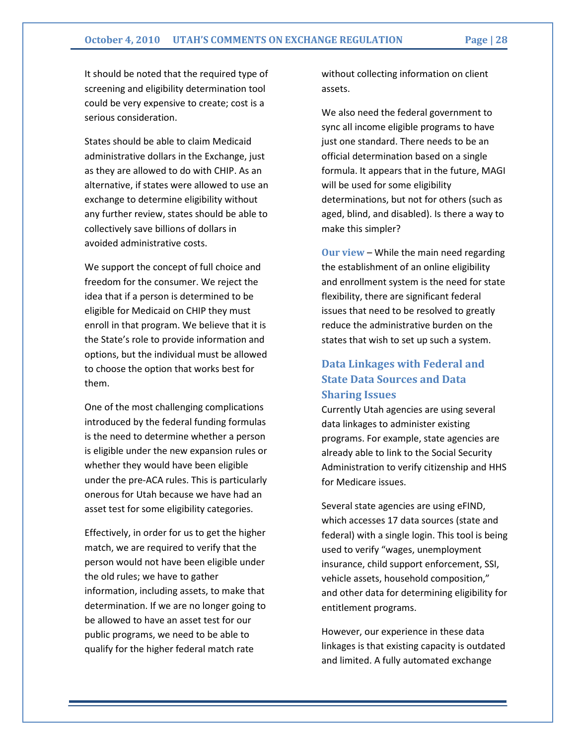It should be noted that the required type of screening and eligibility determination tool could be very expensive to create; cost is a serious consideration.

States should be able to claim Medicaid administrative dollars in the Exchange, just as they are allowed to do with CHIP. As an alternative, if states were allowed to use an exchange to determine eligibility without any further review, states should be able to collectively save billions of dollars in avoided administrative costs.

We support the concept of full choice and freedom for the consumer. We reject the idea that if a person is determined to be eligible for Medicaid on CHIP they must enroll in that program. We believe that it is the State's role to provide information and options, but the individual must be allowed to choose the option that works best for them.

One of the most challenging complications introduced by the federal funding formulas is the need to determine whether a person is eligible under the new expansion rules or whether they would have been eligible under the pre-ACA rules. This is particularly onerous for Utah because we have had an asset test for some eligibility categories.

Effectively, in order for us to get the higher match, we are required to verify that the person would not have been eligible under the old rules; we have to gather information, including assets, to make that determination. If we are no longer going to be allowed to have an asset test for our public programs, we need to be able to qualify for the higher federal match rate

without collecting information on client assets.

We also need the federal government to sync all income eligible programs to have just one standard. There needs to be an official determination based on a single formula. It appears that in the future, MAGI will be used for some eligibility determinations, but not for others (such as aged, blind, and disabled). Is there a way to make this simpler?

Our view – While the main need regarding the establishment of an online eligibility and enrollment system is the need for state flexibility, there are significant federal issues that need to be resolved to greatly reduce the administrative burden on the states that wish to set up such a system.

# Data Linkages with Federal and State Data Sources and Data Sharing Issues

Currently Utah agencies are using several data linkages to administer existing programs. For example, state agencies are already able to link to the Social Security Administration to verify citizenship and HHS for Medicare issues.

Several state agencies are using eFIND, which accesses 17 data sources (state and federal) with a single login. This tool is being used to verify "wages, unemployment insurance, child support enforcement, SSI, vehicle assets, household composition," and other data for determining eligibility for entitlement programs.

However, our experience in these data linkages is that existing capacity is outdated and limited. A fully automated exchange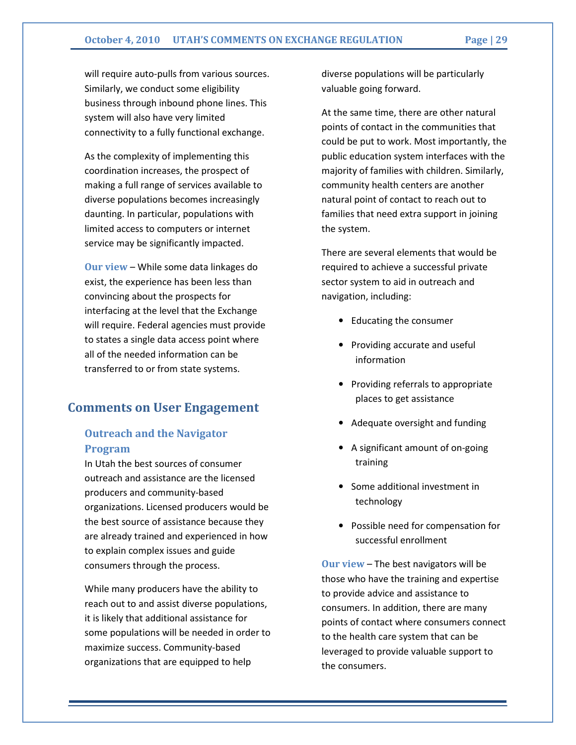will require auto-pulls from various sources. Similarly, we conduct some eligibility business through inbound phone lines. This system will also have very limited connectivity to a fully functional exchange.

As the complexity of implementing this coordination increases, the prospect of making a full range of services available to diverse populations becomes increasingly daunting. In particular, populations with limited access to computers or internet service may be significantly impacted.

Our view – While some data linkages do exist, the experience has been less than convincing about the prospects for interfacing at the level that the Exchange will require. Federal agencies must provide to states a single data access point where all of the needed information can be transferred to or from state systems.

# Comments on User Engagement

### Outreach and the Navigator Program

In Utah the best sources of consumer outreach and assistance are the licensed producers and community-based organizations. Licensed producers would be the best source of assistance because they are already trained and experienced in how to explain complex issues and guide consumers through the process.

While many producers have the ability to reach out to and assist diverse populations, it is likely that additional assistance for some populations will be needed in order to maximize success. Community-based organizations that are equipped to help

diverse populations will be particularly valuable going forward.

At the same time, there are other natural points of contact in the communities that could be put to work. Most importantly, the public education system interfaces with the majority of families with children. Similarly, community health centers are another natural point of contact to reach out to families that need extra support in joining the system.

There are several elements that would be required to achieve a successful private sector system to aid in outreach and navigation, including:

- Educating the consumer
- Providing accurate and useful information
- Providing referrals to appropriate places to get assistance
- Adequate oversight and funding
- A significant amount of on-going training
- Some additional investment in technology
- Possible need for compensation for successful enrollment

Our view – The best navigators will be those who have the training and expertise to provide advice and assistance to consumers. In addition, there are many points of contact where consumers connect to the health care system that can be leveraged to provide valuable support to the consumers.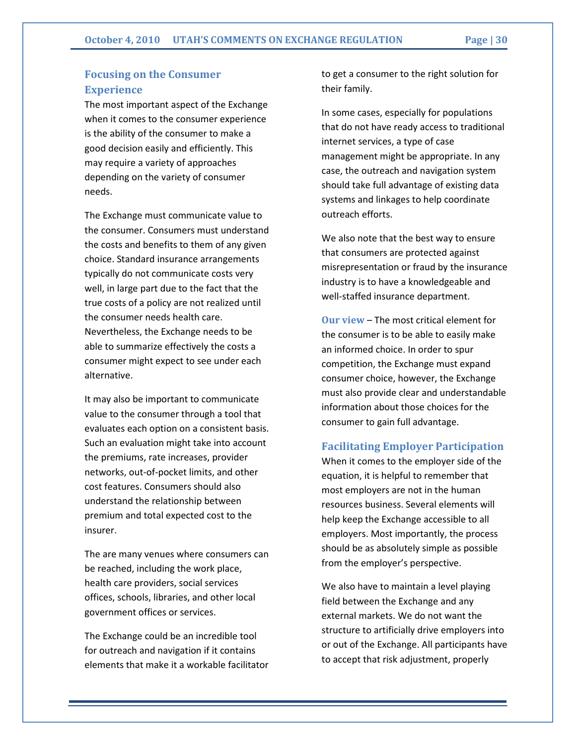# Focusing on the Consumer **Experience**

The most important aspect of the Exchange when it comes to the consumer experience is the ability of the consumer to make a good decision easily and efficiently. This may require a variety of approaches depending on the variety of consumer needs.

The Exchange must communicate value to the consumer. Consumers must understand the costs and benefits to them of any given choice. Standard insurance arrangements typically do not communicate costs very well, in large part due to the fact that the true costs of a policy are not realized until the consumer needs health care. Nevertheless, the Exchange needs to be able to summarize effectively the costs a consumer might expect to see under each alternative.

It may also be important to communicate value to the consumer through a tool that evaluates each option on a consistent basis. Such an evaluation might take into account the premiums, rate increases, provider networks, out-of-pocket limits, and other cost features. Consumers should also understand the relationship between premium and total expected cost to the insurer.

The are many venues where consumers can be reached, including the work place, health care providers, social services offices, schools, libraries, and other local government offices or services.

The Exchange could be an incredible tool for outreach and navigation if it contains elements that make it a workable facilitator to get a consumer to the right solution for their family.

In some cases, especially for populations that do not have ready access to traditional internet services, a type of case management might be appropriate. In any case, the outreach and navigation system should take full advantage of existing data systems and linkages to help coordinate outreach efforts.

We also note that the best way to ensure that consumers are protected against misrepresentation or fraud by the insurance industry is to have a knowledgeable and well-staffed insurance department.

Our view – The most critical element for the consumer is to be able to easily make an informed choice. In order to spur competition, the Exchange must expand consumer choice, however, the Exchange must also provide clear and understandable information about those choices for the consumer to gain full advantage.

#### Facilitating Employer Participation

When it comes to the employer side of the equation, it is helpful to remember that most employers are not in the human resources business. Several elements will help keep the Exchange accessible to all employers. Most importantly, the process should be as absolutely simple as possible from the employer's perspective.

We also have to maintain a level playing field between the Exchange and any external markets. We do not want the structure to artificially drive employers into or out of the Exchange. All participants have to accept that risk adjustment, properly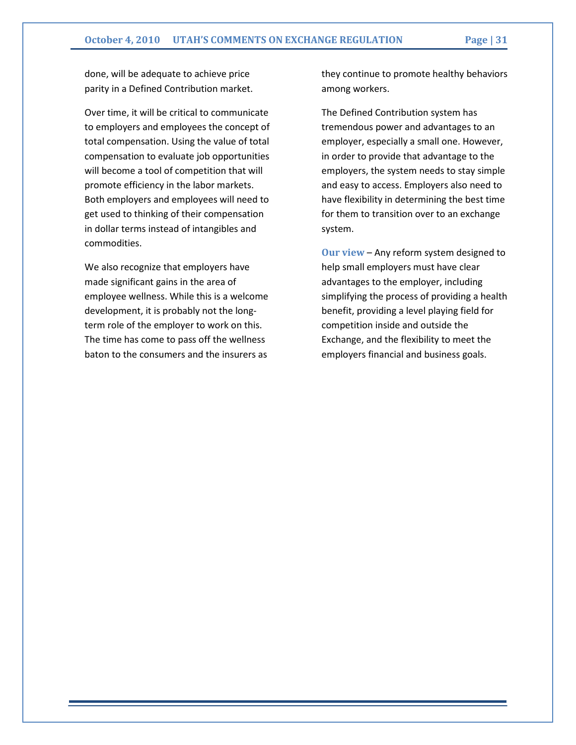done, will be adequate to achieve price parity in a Defined Contribution market.

Over time, it will be critical to communicate to employers and employees the concept of total compensation. Using the value of total compensation to evaluate job opportunities will become a tool of competition that will promote efficiency in the labor markets. Both employers and employees will need to get used to thinking of their compensation in dollar terms instead of intangibles and commodities.

We also recognize that employers have made significant gains in the area of employee wellness. While this is a welcome development, it is probably not the longterm role of the employer to work on this. The time has come to pass off the wellness baton to the consumers and the insurers as

they continue to promote healthy behaviors among workers.

The Defined Contribution system has tremendous power and advantages to an employer, especially a small one. However, in order to provide that advantage to the employers, the system needs to stay simple and easy to access. Employers also need to have flexibility in determining the best time for them to transition over to an exchange system.

Our view – Any reform system designed to help small employers must have clear advantages to the employer, including simplifying the process of providing a health benefit, providing a level playing field for competition inside and outside the Exchange, and the flexibility to meet the employers financial and business goals.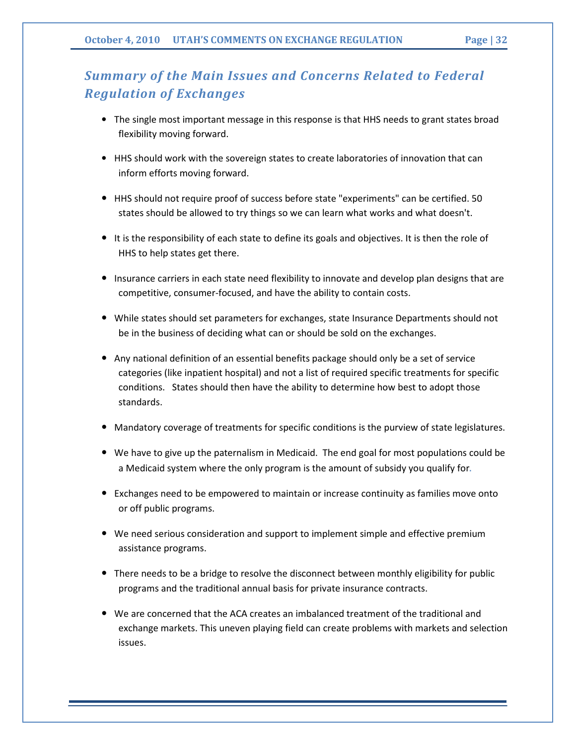# Summary of the Main Issues and Concerns Related to Federal Regulation of Exchanges

- The single most important message in this response is that HHS needs to grant states broad flexibility moving forward.
- HHS should work with the sovereign states to create laboratories of innovation that can inform efforts moving forward.
- HHS should not require proof of success before state "experiments" can be certified. 50 states should be allowed to try things so we can learn what works and what doesn't.
- It is the responsibility of each state to define its goals and objectives. It is then the role of HHS to help states get there.
- Insurance carriers in each state need flexibility to innovate and develop plan designs that are competitive, consumer-focused, and have the ability to contain costs.
- While states should set parameters for exchanges, state Insurance Departments should not be in the business of deciding what can or should be sold on the exchanges.
- Any national definition of an essential benefits package should only be a set of service categories (like inpatient hospital) and not a list of required specific treatments for specific conditions. States should then have the ability to determine how best to adopt those standards.
- Mandatory coverage of treatments for specific conditions is the purview of state legislatures.
- We have to give up the paternalism in Medicaid. The end goal for most populations could be a Medicaid system where the only program is the amount of subsidy you qualify for.
- Exchanges need to be empowered to maintain or increase continuity as families move onto or off public programs.
- We need serious consideration and support to implement simple and effective premium assistance programs.
- There needs to be a bridge to resolve the disconnect between monthly eligibility for public programs and the traditional annual basis for private insurance contracts.
- We are concerned that the ACA creates an imbalanced treatment of the traditional and exchange markets. This uneven playing field can create problems with markets and selection issues.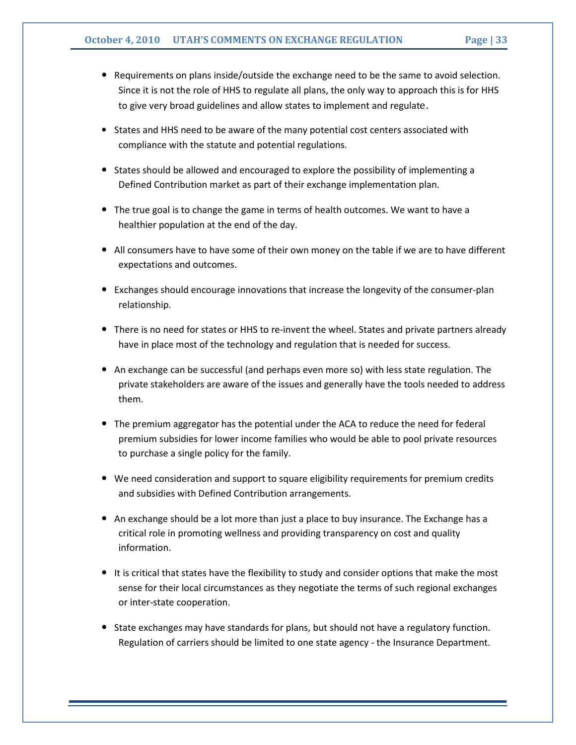- Requirements on plans inside/outside the exchange need to be the same to avoid selection. Since it is not the role of HHS to regulate all plans, the only way to approach this is for HHS to give very broad guidelines and allow states to implement and regulate.
- States and HHS need to be aware of the many potential cost centers associated with compliance with the statute and potential regulations.
- States should be allowed and encouraged to explore the possibility of implementing a Defined Contribution market as part of their exchange implementation plan.
- The true goal is to change the game in terms of health outcomes. We want to have a healthier population at the end of the day.
- All consumers have to have some of their own money on the table if we are to have different expectations and outcomes.
- Exchanges should encourage innovations that increase the longevity of the consumer-plan relationship.
- There is no need for states or HHS to re-invent the wheel. States and private partners already have in place most of the technology and regulation that is needed for success.
- An exchange can be successful (and perhaps even more so) with less state regulation. The private stakeholders are aware of the issues and generally have the tools needed to address them.
- The premium aggregator has the potential under the ACA to reduce the need for federal premium subsidies for lower income families who would be able to pool private resources to purchase a single policy for the family.
- We need consideration and support to square eligibility requirements for premium credits and subsidies with Defined Contribution arrangements.
- An exchange should be a lot more than just a place to buy insurance. The Exchange has a critical role in promoting wellness and providing transparency on cost and quality information.
- It is critical that states have the flexibility to study and consider options that make the most sense for their local circumstances as they negotiate the terms of such regional exchanges or inter-state cooperation.
- State exchanges may have standards for plans, but should not have a regulatory function. Regulation of carriers should be limited to one state agency - the Insurance Department.